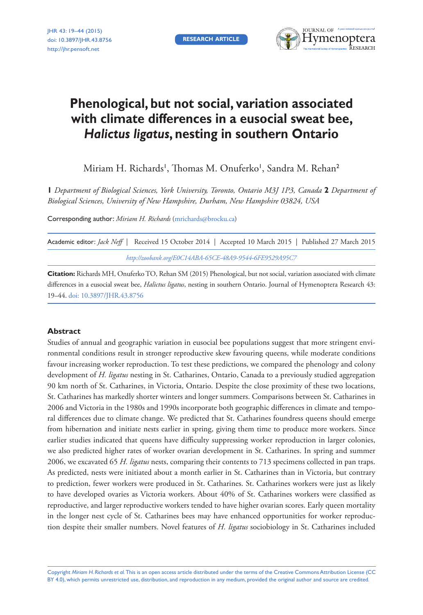**RESEARCH ARTICLE**



# **Phenological, but not social, variation associated with climate differences in a eusocial sweat bee,**  *Halictus ligatus***, nesting in southern Ontario**

Miriam H. Richards', Thomas M. Onuferko', Sandra M. Rehan<sup>2</sup>

**1** *Department of Biological Sciences, York University, Toronto, Ontario M3J 1P3, Canada* **2** *Department of Biological Sciences, University of New Hampshire, Durham, New Hampshire 03824, USA*

Corresponding author: *Miriam H. Richards* [\(mrichards@brocku.ca\)](mailto:mrichards@brocku.ca)

| Academic editor: <i>Jack Neff</i>   Received 15 October 2014   Accepted 10 March 2015   Published 27 March 2015 |
|-----------------------------------------------------------------------------------------------------------------|
| http://zoobank.org/E0C14ABA-65CE-48A9-9544-6FE9529A95C7                                                         |

**Citation:** Richards MH, Onuferko TO, Rehan SM (2015) Phenological, but not social, variation associated with climate differences in a eusocial sweat bee, *Halictus ligatus*, nesting in southern Ontario. Journal of Hymenoptera Research 43: 19–44. [doi: 10.3897/JHR.43.8756](http://dx.doi.org/10.3897/JHR.43.8756)

#### **Abstract**

Studies of annual and geographic variation in eusocial bee populations suggest that more stringent environmental conditions result in stronger reproductive skew favouring queens, while moderate conditions favour increasing worker reproduction. To test these predictions, we compared the phenology and colony development of *H. ligatus* nesting in St. Catharines, Ontario, Canada to a previously studied aggregation 90 km north of St. Catharines, in Victoria, Ontario. Despite the close proximity of these two locations, St. Catharines has markedly shorter winters and longer summers. Comparisons between St. Catharines in 2006 and Victoria in the 1980s and 1990s incorporate both geographic differences in climate and temporal differences due to climate change. We predicted that St. Catharines foundress queens should emerge from hibernation and initiate nests earlier in spring, giving them time to produce more workers. Since earlier studies indicated that queens have difficulty suppressing worker reproduction in larger colonies, we also predicted higher rates of worker ovarian development in St. Catharines. In spring and summer 2006, we excavated 65 *H. ligatus* nests, comparing their contents to 713 specimens collected in pan traps. As predicted, nests were initiated about a month earlier in St. Catharines than in Victoria, but contrary to prediction, fewer workers were produced in St. Catharines. St. Catharines workers were just as likely to have developed ovaries as Victoria workers. About 40% of St. Catharines workers were classified as reproductive, and larger reproductive workers tended to have higher ovarian scores. Early queen mortality in the longer nest cycle of St. Catharines bees may have enhanced opportunities for worker reproduction despite their smaller numbers. Novel features of *H. ligatus* sociobiology in St. Catharines included

Copyright *Miriam H. Richards et al.* This is an open access article distributed under the terms of the [Creative Commons Attribution License \(CC](http://creativecommons.org/licenses/by/4.0/)  [BY 4.0\)](http://creativecommons.org/licenses/by/4.0/), which permits unrestricted use, distribution, and reproduction in any medium, provided the original author and source are credited.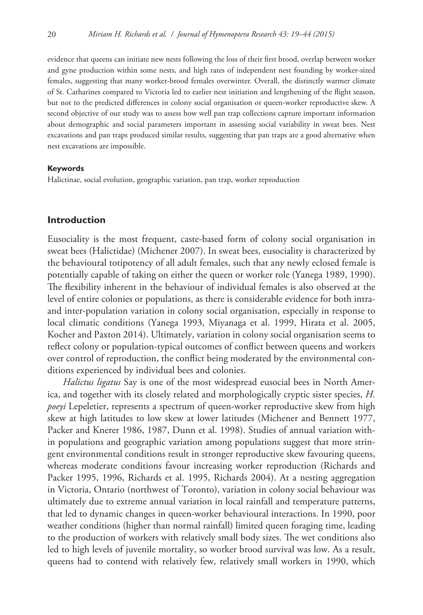evidence that queens can initiate new nests following the loss of their first brood, overlap between worker and gyne production within some nests, and high rates of independent nest founding by worker-sized females, suggesting that many worker-brood females overwinter. Overall, the distinctly warmer climate of St. Catharines compared to Victoria led to earlier nest initiation and lengthening of the flight season, but not to the predicted differences in colony social organisation or queen-worker reproductive skew. A second objective of our study was to assess how well pan trap collections capture important information about demographic and social parameters important in assessing social variability in sweat bees. Nest excavations and pan traps produced similar results, suggesting that pan traps are a good alternative when nest excavations are impossible.

#### **Keywords**

Halictinae, social evolution, geographic variation, pan trap, worker reproduction

#### **Introduction**

Eusociality is the most frequent, caste-based form of colony social organisation in sweat bees (Halictidae) (Michener 2007). In sweat bees, eusociality is characterized by the behavioural totipotency of all adult females, such that any newly eclosed female is potentially capable of taking on either the queen or worker role (Yanega 1989, 1990). The flexibility inherent in the behaviour of individual females is also observed at the level of entire colonies or populations, as there is considerable evidence for both intraand inter-population variation in colony social organisation, especially in response to local climatic conditions (Yanega 1993, Miyanaga et al. 1999, Hirata et al. 2005, Kocher and Paxton 2014). Ultimately, variation in colony social organisation seems to reflect colony or population-typical outcomes of conflict between queens and workers over control of reproduction, the conflict being moderated by the environmental conditions experienced by individual bees and colonies.

*Halictus ligatus* Say is one of the most widespread eusocial bees in North America, and together with its closely related and morphologically cryptic sister species, *H. poeyi* Lepeletier, represents a spectrum of queen-worker reproductive skew from high skew at high latitudes to low skew at lower latitudes (Michener and Bennett 1977, Packer and Knerer 1986, 1987, Dunn et al. 1998). Studies of annual variation within populations and geographic variation among populations suggest that more stringent environmental conditions result in stronger reproductive skew favouring queens, whereas moderate conditions favour increasing worker reproduction (Richards and Packer 1995, 1996, Richards et al. 1995, Richards 2004). At a nesting aggregation in Victoria, Ontario (northwest of Toronto), variation in colony social behaviour was ultimately due to extreme annual variation in local rainfall and temperature patterns, that led to dynamic changes in queen-worker behavioural interactions. In 1990, poor weather conditions (higher than normal rainfall) limited queen foraging time, leading to the production of workers with relatively small body sizes. The wet conditions also led to high levels of juvenile mortality, so worker brood survival was low. As a result, queens had to contend with relatively few, relatively small workers in 1990, which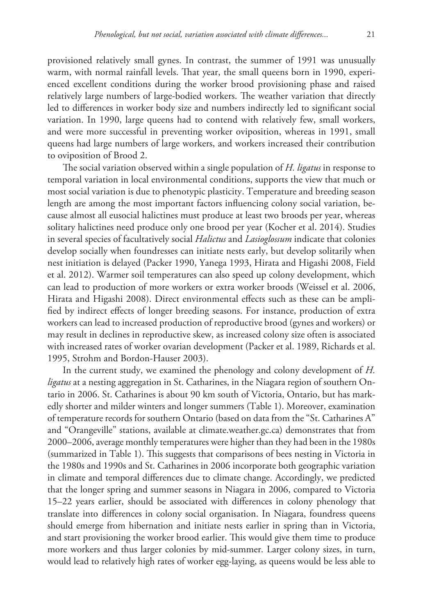provisioned relatively small gynes. In contrast, the summer of 1991 was unusually warm, with normal rainfall levels. That year, the small queens born in 1990, experienced excellent conditions during the worker brood provisioning phase and raised relatively large numbers of large-bodied workers. The weather variation that directly led to differences in worker body size and numbers indirectly led to significant social variation. In 1990, large queens had to contend with relatively few, small workers, and were more successful in preventing worker oviposition, whereas in 1991, small queens had large numbers of large workers, and workers increased their contribution to oviposition of Brood 2.

The social variation observed within a single population of *H. ligatus* in response to temporal variation in local environmental conditions, supports the view that much or most social variation is due to phenotypic plasticity. Temperature and breeding season length are among the most important factors influencing colony social variation, because almost all eusocial halictines must produce at least two broods per year, whereas solitary halictines need produce only one brood per year (Kocher et al. 2014). Studies in several species of facultatively social *Halictus* and *Lasioglossum* indicate that colonies develop socially when foundresses can initiate nests early, but develop solitarily when nest initiation is delayed (Packer 1990, Yanega 1993, Hirata and Higashi 2008, Field et al. 2012). Warmer soil temperatures can also speed up colony development, which can lead to production of more workers or extra worker broods (Weissel et al. 2006, Hirata and Higashi 2008). Direct environmental effects such as these can be amplified by indirect effects of longer breeding seasons. For instance, production of extra workers can lead to increased production of reproductive brood (gynes and workers) or may result in declines in reproductive skew, as increased colony size often is associated with increased rates of worker ovarian development (Packer et al. 1989, Richards et al. 1995, Strohm and Bordon-Hauser 2003).

In the current study, we examined the phenology and colony development of *H. ligatus* at a nesting aggregation in St. Catharines, in the Niagara region of southern Ontario in 2006. St. Catharines is about 90 km south of Victoria, Ontario, but has markedly shorter and milder winters and longer summers (Table 1). Moreover, examination of temperature records for southern Ontario (based on data from the "St. Catharines A" and "Orangeville" stations, available at climate.weather.gc.ca) demonstrates that from 2000–2006, average monthly temperatures were higher than they had been in the 1980s (summarized in Table 1). This suggests that comparisons of bees nesting in Victoria in the 1980s and 1990s and St. Catharines in 2006 incorporate both geographic variation in climate and temporal differences due to climate change. Accordingly, we predicted that the longer spring and summer seasons in Niagara in 2006, compared to Victoria 15–22 years earlier, should be associated with differences in colony phenology that translate into differences in colony social organisation. In Niagara, foundress queens should emerge from hibernation and initiate nests earlier in spring than in Victoria, and start provisioning the worker brood earlier. This would give them time to produce more workers and thus larger colonies by mid-summer. Larger colony sizes, in turn, would lead to relatively high rates of worker egg-laying, as queens would be less able to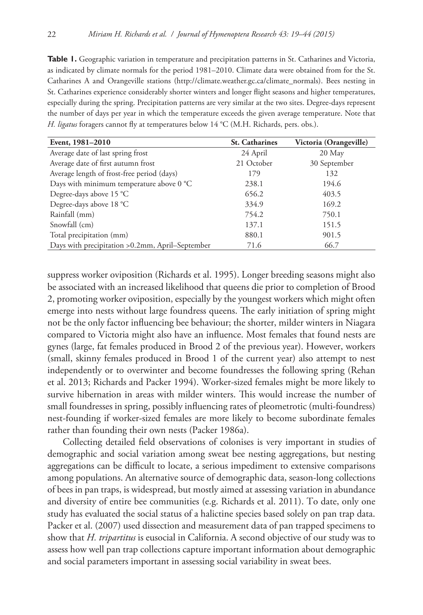**Table 1.** Geographic variation in temperature and precipitation patterns in St. Catharines and Victoria, as indicated by climate normals for the period 1981–2010. Climate data were obtained from for the St. Catharines A and Orangeville stations [\(http://climate.weather.gc.ca/climate\\_normals](http://climate.weather.gc.ca/climate_normals)). Bees nesting in St. Catharines experience considerably shorter winters and longer flight seasons and higher temperatures, especially during the spring. Precipitation patterns are very similar at the two sites. Degree-days represent the number of days per year in which the temperature exceeds the given average temperature. Note that *H. ligatus* foragers cannot fly at temperatures below 14 °C (M.H. Richards, pers. obs.).

| Event, 1981-2010                                | <b>St. Catharines</b> | Victoria (Orangeville) |
|-------------------------------------------------|-----------------------|------------------------|
| Average date of last spring frost               | 24 April              | 20 May                 |
| Average date of first autumn frost              | 21 October            | 30 September           |
| Average length of frost-free period (days)      | 179                   | 132                    |
| Days with minimum temperature above 0 °C        | 238.1                 | 194.6                  |
| Degree-days above 15 °C                         | 656.2                 | 403.5                  |
| Degree-days above 18 °C                         | 334.9                 | 169.2                  |
| Rainfall (mm)                                   | 754.2                 | 750.1                  |
| Snowfall (cm)                                   | 137.1                 | 151.5                  |
| Total precipitation (mm)                        | 880.1                 | 901.5                  |
| Days with precipitation >0.2mm, April–September | 71.6                  | 66.7                   |

suppress worker oviposition (Richards et al. 1995). Longer breeding seasons might also be associated with an increased likelihood that queens die prior to completion of Brood 2, promoting worker oviposition, especially by the youngest workers which might often emerge into nests without large foundress queens. The early initiation of spring might not be the only factor influencing bee behaviour; the shorter, milder winters in Niagara compared to Victoria might also have an influence. Most females that found nests are gynes (large, fat females produced in Brood 2 of the previous year). However, workers (small, skinny females produced in Brood 1 of the current year) also attempt to nest independently or to overwinter and become foundresses the following spring (Rehan et al. 2013; Richards and Packer 1994). Worker-sized females might be more likely to survive hibernation in areas with milder winters. This would increase the number of small foundresses in spring, possibly influencing rates of pleometrotic (multi-foundress) nest-founding if worker-sized females are more likely to become subordinate females rather than founding their own nests (Packer 1986a).

Collecting detailed field observations of colonises is very important in studies of demographic and social variation among sweat bee nesting aggregations, but nesting aggregations can be difficult to locate, a serious impediment to extensive comparisons among populations. An alternative source of demographic data, season-long collections of bees in pan traps, is widespread, but mostly aimed at assessing variation in abundance and diversity of entire bee communities (e.g. Richards et al. 2011). To date, only one study has evaluated the social status of a halictine species based solely on pan trap data. Packer et al. (2007) used dissection and measurement data of pan trapped specimens to show that *H. tripartitus* is eusocial in California. A second objective of our study was to assess how well pan trap collections capture important information about demographic and social parameters important in assessing social variability in sweat bees.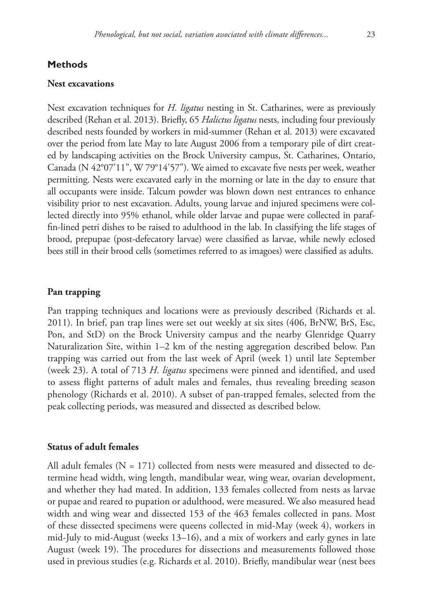# **Methods**

## **Nest excavations**

Nest excavation techniques for *H. ligatus* nesting in St. Catharines, were as previously described (Rehan et al. 2013). Briefly, 65 *Halictus ligatus* nests, including four previously described nests founded by workers in mid-summer (Rehan et al. 2013) were excavated over the period from late May to late August 2006 from a temporary pile of dirt created by landscaping activities on the Brock University campus, St. Catharines, Ontario, Canada (N 42°07'11", W 79°14'57"). We aimed to excavate five nests per week, weather permitting. Nests were excavated early in the morning or late in the day to ensure that all occupants were inside. Talcum powder was blown down nest entrances to enhance visibility prior to nest excavation. Adults, young larvae and injured specimens were collected directly into 95% ethanol, while older larvae and pupae were collected in paraffin-lined petri dishes to be raised to adulthood in the lab. In classifying the life stages of brood, prepupae (post-defecatory larvae) were classified as larvae, while newly eclosed bees still in their brood cells (sometimes referred to as imagoes) were classified as adults.

# **Pan trapping**

Pan trapping techniques and locations were as previously described (Richards et al. 2011). In brief, pan trap lines were set out weekly at six sites (406, BrNW, BrS, Esc, Pon, and StD) on the Brock University campus and the nearby Glenridge Quarry Naturalization Site, within 1–2 km of the nesting aggregation described below. Pan trapping was carried out from the last week of April (week 1) until late September (week 23). A total of 713 *H. ligatus* specimens were pinned and identified, and used to assess flight patterns of adult males and females, thus revealing breeding season phenology (Richards et al. 2010). A subset of pan-trapped females, selected from the peak collecting periods, was measured and dissected as described below.

# **Status of adult females**

All adult females ( $N = 171$ ) collected from nests were measured and dissected to determine head width, wing length, mandibular wear, wing wear, ovarian development, and whether they had mated. In addition, 133 females collected from nests as larvae or pupae and reared to pupation or adulthood, were measured. We also measured head width and wing wear and dissected 153 of the 463 females collected in pans. Most of these dissected specimens were queens collected in mid-May (week 4), workers in mid-July to mid-August (weeks 13–16), and a mix of workers and early gynes in late August (week 19). The procedures for dissections and measurements followed those used in previous studies (e.g. Richards et al. 2010). Briefly, mandibular wear (nest bees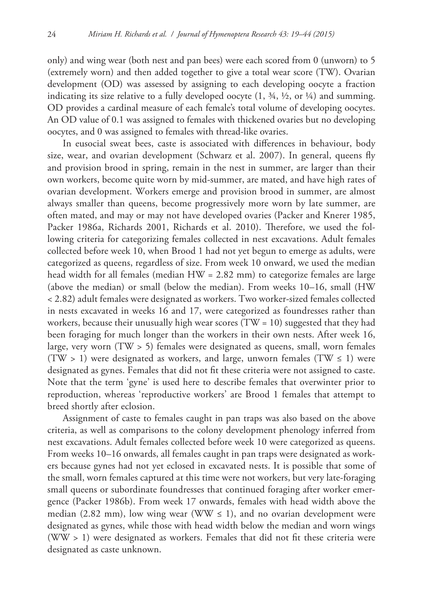only) and wing wear (both nest and pan bees) were each scored from 0 (unworn) to 5 (extremely worn) and then added together to give a total wear score (TW). Ovarian development (OD) was assessed by assigning to each developing oocyte a fraction indicating its size relative to a fully developed oocyte (1, ¾, ½, or ¼) and summing. OD provides a cardinal measure of each female's total volume of developing oocytes. An OD value of 0.1 was assigned to females with thickened ovaries but no developing oocytes, and 0 was assigned to females with thread-like ovaries.

In eusocial sweat bees, caste is associated with differences in behaviour, body size, wear, and ovarian development (Schwarz et al. 2007). In general, queens fly and provision brood in spring, remain in the nest in summer, are larger than their own workers, become quite worn by mid-summer, are mated, and have high rates of ovarian development. Workers emerge and provision brood in summer, are almost always smaller than queens, become progressively more worn by late summer, are often mated, and may or may not have developed ovaries (Packer and Knerer 1985, Packer 1986a, Richards 2001, Richards et al. 2010). Therefore, we used the following criteria for categorizing females collected in nest excavations. Adult females collected before week 10, when Brood 1 had not yet begun to emerge as adults, were categorized as queens, regardless of size. From week 10 onward, we used the median head width for all females (median HW = 2.82 mm) to categorize females are large (above the median) or small (below the median). From weeks 10–16, small (HW < 2.82) adult females were designated as workers. Two worker-sized females collected in nests excavated in weeks 16 and 17, were categorized as foundresses rather than workers, because their unusually high wear scores (TW =  $10$ ) suggested that they had been foraging for much longer than the workers in their own nests. After week 16, large, very worn (TW > 5) females were designated as queens, small, worn females (TW > 1) were designated as workers, and large, unworn females (TW  $\leq$  1) were designated as gynes. Females that did not fit these criteria were not assigned to caste. Note that the term 'gyne' is used here to describe females that overwinter prior to reproduction, whereas 'reproductive workers' are Brood 1 females that attempt to breed shortly after eclosion.

Assignment of caste to females caught in pan traps was also based on the above criteria, as well as comparisons to the colony development phenology inferred from nest excavations. Adult females collected before week 10 were categorized as queens. From weeks 10–16 onwards, all females caught in pan traps were designated as workers because gynes had not yet eclosed in excavated nests. It is possible that some of the small, worn females captured at this time were not workers, but very late-foraging small queens or subordinate foundresses that continued foraging after worker emergence (Packer 1986b). From week 17 onwards, females with head width above the median (2.82 mm), low wing wear (WW  $\leq$  1), and no ovarian development were designated as gynes, while those with head width below the median and worn wings (WW > 1) were designated as workers. Females that did not fit these criteria were designated as caste unknown.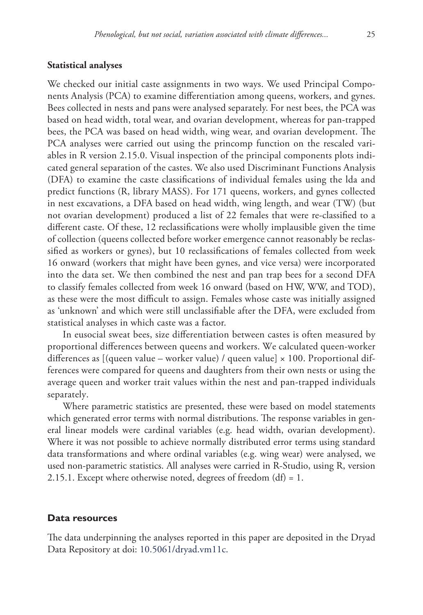#### **Statistical analyses**

We checked our initial caste assignments in two ways. We used Principal Components Analysis (PCA) to examine differentiation among queens, workers, and gynes. Bees collected in nests and pans were analysed separately. For nest bees, the PCA was based on head width, total wear, and ovarian development, whereas for pan-trapped bees, the PCA was based on head width, wing wear, and ovarian development. The PCA analyses were carried out using the princomp function on the rescaled variables in R version 2.15.0. Visual inspection of the principal components plots indicated general separation of the castes. We also used Discriminant Functions Analysis (DFA) to examine the caste classifications of individual females using the lda and predict functions (R, library MASS). For 171 queens, workers, and gynes collected in nest excavations, a DFA based on head width, wing length, and wear (TW) (but not ovarian development) produced a list of 22 females that were re-classified to a different caste. Of these, 12 reclassifications were wholly implausible given the time of collection (queens collected before worker emergence cannot reasonably be reclassified as workers or gynes), but 10 reclassifications of females collected from week 16 onward (workers that might have been gynes, and vice versa) were incorporated into the data set. We then combined the nest and pan trap bees for a second DFA to classify females collected from week 16 onward (based on HW, WW, and TOD), as these were the most difficult to assign. Females whose caste was initially assigned as 'unknown' and which were still unclassifiable after the DFA, were excluded from statistical analyses in which caste was a factor.

In eusocial sweat bees, size differentiation between castes is often measured by proportional differences between queens and workers. We calculated queen-worker differences as  $[(\text{queen value} - \text{worker value}) / \text{queen value}] \times 100$ . Proportional differences were compared for queens and daughters from their own nests or using the average queen and worker trait values within the nest and pan-trapped individuals separately.

Where parametric statistics are presented, these were based on model statements which generated error terms with normal distributions. The response variables in general linear models were cardinal variables (e.g. head width, ovarian development). Where it was not possible to achieve normally distributed error terms using standard data transformations and where ordinal variables (e.g. wing wear) were analysed, we used non-parametric statistics. All analyses were carried in R-Studio, using R, version 2.15.1. Except where otherwise noted, degrees of freedom (df) = 1.

#### **Data resources**

The data underpinning the analyses reported in this paper are deposited in the Dryad Data Repository at [doi: 10.5061/dryad.vm11c.](http://dx.doi.org/10.5061/dryad.vm11c)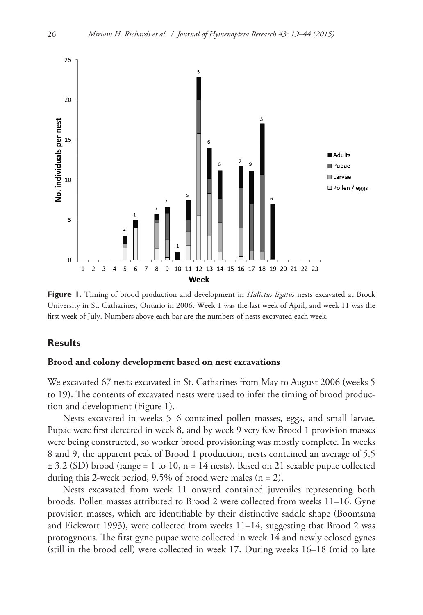

**Figure 1.** Timing of brood production and development in *Halictus ligatus* nests excavated at Brock University in St. Catharines, Ontario in 2006. Week 1 was the last week of April, and week 11 was the first week of July. Numbers above each bar are the numbers of nests excavated each week.

# **Results**

#### **Brood and colony development based on nest excavations**

We excavated 67 nests excavated in St. Catharines from May to August 2006 (weeks 5 to 19). The contents of excavated nests were used to infer the timing of brood production and development (Figure 1).

Nests excavated in weeks 5–6 contained pollen masses, eggs, and small larvae. Pupae were first detected in week 8, and by week 9 very few Brood 1 provision masses were being constructed, so worker brood provisioning was mostly complete. In weeks 8 and 9, the apparent peak of Brood 1 production, nests contained an average of 5.5  $\pm$  3.2 (SD) brood (range = 1 to 10, n = 14 nests). Based on 21 sexable pupae collected during this 2-week period, 9.5% of brood were males (n = 2).

Nests excavated from week 11 onward contained juveniles representing both broods. Pollen masses attributed to Brood 2 were collected from weeks 11–16. Gyne provision masses, which are identifiable by their distinctive saddle shape (Boomsma and Eickwort 1993), were collected from weeks 11–14, suggesting that Brood 2 was protogynous. The first gyne pupae were collected in week 14 and newly eclosed gynes (still in the brood cell) were collected in week 17. During weeks 16–18 (mid to late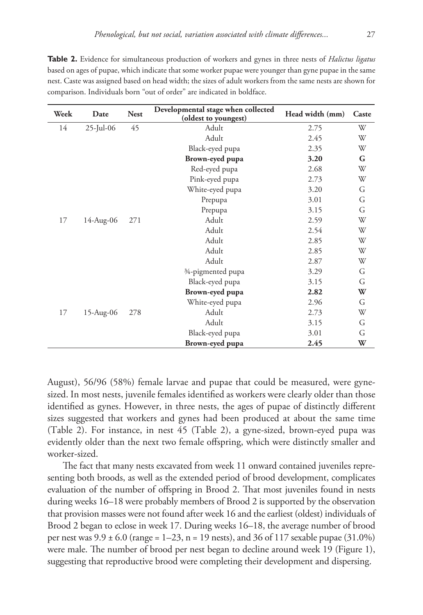**Table 2.** Evidence for simultaneous production of workers and gynes in three nests of *Halictus ligatus* based on ages of pupae, which indicate that some worker pupae were younger than gyne pupae in the same nest. Caste was assigned based on head width; the sizes of adult workers from the same nests are shown for comparison. Individuals born "out of order" are indicated in boldface.

| Week | Date         | <b>Nest</b> | Developmental stage when collected<br>(oldest to youngest) | Head width (mm) | Caste     |
|------|--------------|-------------|------------------------------------------------------------|-----------------|-----------|
| 14   | $25$ -Jul-06 | 45          | Adult                                                      | 2.75            | W         |
|      |              |             | Adult                                                      | 2.45            | W         |
|      |              |             | Black-eyed pupa                                            | 2.35            | W         |
|      |              |             | Brown-eyed pupa                                            | 3.20            | G         |
|      |              |             | Red-eyed pupa                                              | 2.68            | W         |
|      |              |             | Pink-eyed pupa                                             | 2.73            | W         |
|      |              |             | White-eyed pupa                                            | 3.20            | ${\bf G}$ |
|      |              |             | Prepupa                                                    | 3.01            | G         |
|      |              |             | Prepupa                                                    | 3.15            | G         |
| 17   | 14-Aug-06    | 271         | Adult                                                      | 2.59            | W         |
|      |              |             | Adult                                                      | 2.54            | W         |
|      |              |             | Adult                                                      | 2.85            | W         |
|      |              |             | Adult                                                      | 2.85            | W         |
|      |              |             | Adult                                                      | 2.87            | W         |
|      |              |             | 3⁄4-pigmented pupa                                         | 3.29            | G         |
|      |              |             | Black-eyed pupa                                            | 3.15            | G         |
|      |              |             | Brown-eyed pupa                                            | 2.82            | W         |
|      |              |             | White-eyed pupa                                            | 2.96            | ${\rm G}$ |
| 17   | 15-Aug-06    | 278         | Adult                                                      | 2.73            | W         |
|      |              |             | Adult                                                      | 3.15            | G         |
|      |              |             | Black-eyed pupa                                            | 3.01            | G         |
|      |              |             | <b>Brown-eyed pupa</b>                                     | 2.45            | W         |

August), 56/96 (58%) female larvae and pupae that could be measured, were gynesized. In most nests, juvenile females identified as workers were clearly older than those identified as gynes. However, in three nests, the ages of pupae of distinctly different sizes suggested that workers and gynes had been produced at about the same time (Table 2). For instance, in nest 45 (Table 2), a gyne-sized, brown-eyed pupa was evidently older than the next two female offspring, which were distinctly smaller and worker-sized.

The fact that many nests excavated from week 11 onward contained juveniles representing both broods, as well as the extended period of brood development, complicates evaluation of the number of offspring in Brood 2. That most juveniles found in nests during weeks 16–18 were probably members of Brood 2 is supported by the observation that provision masses were not found after week 16 and the earliest (oldest) individuals of Brood 2 began to eclose in week 17. During weeks 16–18, the average number of brood per nest was  $9.9 \pm 6.0$  (range = 1–23, n = 19 nests), and 36 of 117 sexable pupae (31.0%) were male. The number of brood per nest began to decline around week 19 (Figure 1), suggesting that reproductive brood were completing their development and dispersing.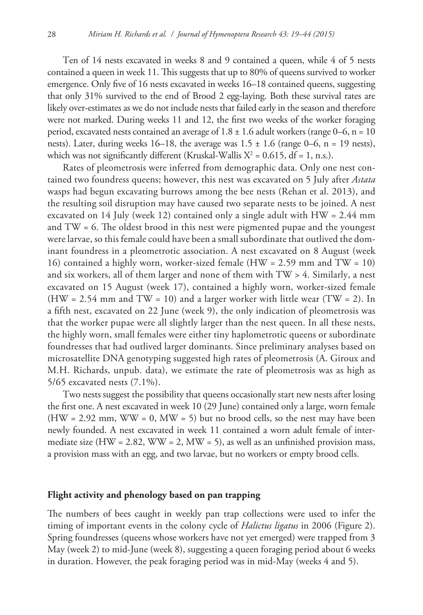Ten of 14 nests excavated in weeks 8 and 9 contained a queen, while 4 of 5 nests contained a queen in week 11. This suggests that up to 80% of queens survived to worker emergence. Only five of 16 nests excavated in weeks 16–18 contained queens, suggesting that only 31% survived to the end of Brood 2 egg-laying. Both these survival rates are likely over-estimates as we do not include nests that failed early in the season and therefore were not marked. During weeks 11 and 12, the first two weeks of the worker foraging period, excavated nests contained an average of  $1.8 \pm 1.6$  adult workers (range 0–6, n = 10 nests). Later, during weeks  $16-18$ , the average was  $1.5 \pm 1.6$  (range 0–6, n = 19 nests), which was not significantly different (Kruskal-Wallis  $X^2 = 0.615$ , df = 1, n.s.).

Rates of pleometrosis were inferred from demographic data. Only one nest contained two foundress queens; however, this nest was excavated on 5 July after *Astata* wasps had begun excavating burrows among the bee nests (Rehan et al. 2013), and the resulting soil disruption may have caused two separate nests to be joined. A nest excavated on 14 July (week 12) contained only a single adult with HW = 2.44 mm and TW = 6. The oldest brood in this nest were pigmented pupae and the youngest were larvae, so this female could have been a small subordinate that outlived the dominant foundress in a pleometrotic association. A nest excavated on 8 August (week 16) contained a highly worn, worker-sized female (HW = 2.59 mm and TW = 10) and six workers, all of them larger and none of them with TW > 4. Similarly, a nest excavated on 15 August (week 17), contained a highly worn, worker-sized female (HW = 2.54 mm and TW = 10) and a larger worker with little wear (TW = 2). In a fifth nest, excavated on 22 June (week 9), the only indication of pleometrosis was that the worker pupae were all slightly larger than the nest queen. In all these nests, the highly worn, small females were either tiny haplometrotic queens or subordinate foundresses that had outlived larger dominants. Since preliminary analyses based on microsatellite DNA genotyping suggested high rates of pleometrosis (A. Giroux and M.H. Richards, unpub. data), we estimate the rate of pleometrosis was as high as 5/65 excavated nests (7.1%).

Two nests suggest the possibility that queens occasionally start new nests after losing the first one. A nest excavated in week 10 (29 June) contained only a large, worn female  $(HW = 2.92$  mm,  $WW = 0$ ,  $MW = 5$ ) but no brood cells, so the nest may have been newly founded. A nest excavated in week 11 contained a worn adult female of intermediate size (HW = 2.82, WW = 2, MW = 5), as well as an unfinished provision mass, a provision mass with an egg, and two larvae, but no workers or empty brood cells.

## **Flight activity and phenology based on pan trapping**

The numbers of bees caught in weekly pan trap collections were used to infer the timing of important events in the colony cycle of *Halictus ligatus* in 2006 (Figure 2). Spring foundresses (queens whose workers have not yet emerged) were trapped from 3 May (week 2) to mid-June (week 8), suggesting a queen foraging period about 6 weeks in duration. However, the peak foraging period was in mid-May (weeks 4 and 5).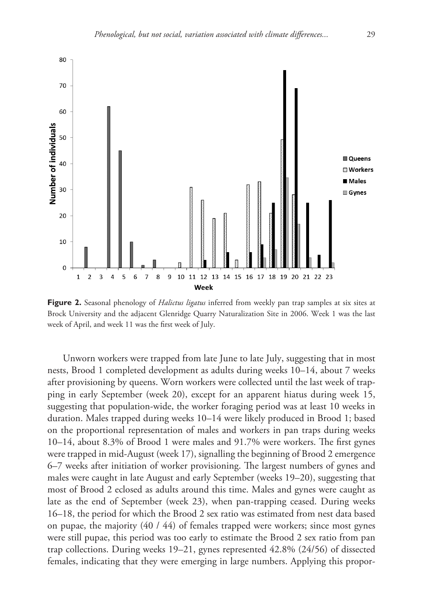

**Figure 2.** Seasonal phenology of *Halictus ligatus* inferred from weekly pan trap samples at six sites at Brock University and the adjacent Glenridge Quarry Naturalization Site in 2006. Week 1 was the last week of April, and week 11 was the first week of July.

Unworn workers were trapped from late June to late July, suggesting that in most nests, Brood 1 completed development as adults during weeks 10–14, about 7 weeks after provisioning by queens. Worn workers were collected until the last week of trapping in early September (week 20), except for an apparent hiatus during week 15, suggesting that population-wide, the worker foraging period was at least 10 weeks in duration. Males trapped during weeks 10–14 were likely produced in Brood 1; based on the proportional representation of males and workers in pan traps during weeks 10–14, about 8.3% of Brood 1 were males and 91.7% were workers. The first gynes were trapped in mid-August (week 17), signalling the beginning of Brood 2 emergence 6–7 weeks after initiation of worker provisioning. The largest numbers of gynes and males were caught in late August and early September (weeks 19–20), suggesting that most of Brood 2 eclosed as adults around this time. Males and gynes were caught as late as the end of September (week 23), when pan-trapping ceased. During weeks 16–18, the period for which the Brood 2 sex ratio was estimated from nest data based on pupae, the majority (40 / 44) of females trapped were workers; since most gynes were still pupae, this period was too early to estimate the Brood 2 sex ratio from pan trap collections. During weeks 19–21, gynes represented 42.8% (24/56) of dissected females, indicating that they were emerging in large numbers. Applying this propor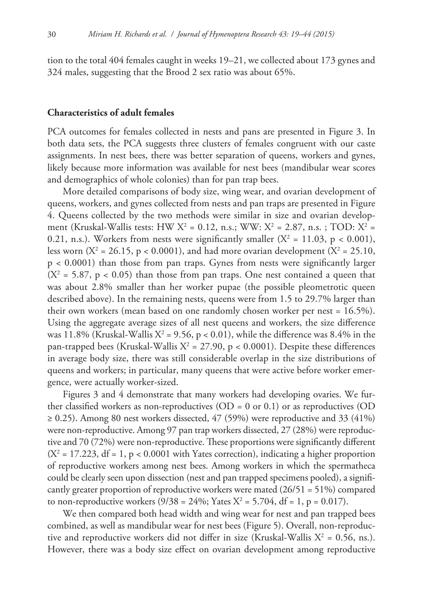tion to the total 404 females caught in weeks 19–21, we collected about 173 gynes and 324 males, suggesting that the Brood 2 sex ratio was about 65%.

#### **Characteristics of adult females**

PCA outcomes for females collected in nests and pans are presented in Figure 3. In both data sets, the PCA suggests three clusters of females congruent with our caste assignments. In nest bees, there was better separation of queens, workers and gynes, likely because more information was available for nest bees (mandibular wear scores and demographics of whole colonies) than for pan trap bees.

More detailed comparisons of body size, wing wear, and ovarian development of queens, workers, and gynes collected from nests and pan traps are presented in Figure 4. Queens collected by the two methods were similar in size and ovarian development (Kruskal-Wallis tests: HW  $X^2 = 0.12$ , n.s.; WW:  $X^2 = 2.87$ , n.s.; TOD:  $X^2 =$ 0.21, n.s.). Workers from nests were significantly smaller  $(X^2 = 11.03, p < 0.001)$ , less worn ( $X^2 = 26.15$ ,  $p < 0.0001$ ), and had more ovarian development ( $X^2 = 25.10$ , p < 0.0001) than those from pan traps. Gynes from nests were significantly larger ( $X^2$  = 5.87,  $p$  < 0.05) than those from pan traps. One nest contained a queen that was about 2.8% smaller than her worker pupae (the possible pleometrotic queen described above). In the remaining nests, queens were from 1.5 to 29.7% larger than their own workers (mean based on one randomly chosen worker per nest = 16.5%). Using the aggregate average sizes of all nest queens and workers, the size difference was 11.8% (Kruskal-Wallis  $X^2 = 9.56$ , p < 0.01), while the difference was 8.4% in the pan-trapped bees (Kruskal-Wallis  $X^2 = 27.90$ , p < 0.0001). Despite these differences in average body size, there was still considerable overlap in the size distributions of queens and workers; in particular, many queens that were active before worker emergence, were actually worker-sized.

Figures 3 and 4 demonstrate that many workers had developing ovaries. We further classified workers as non-reproductives (OD = 0 or 0.1) or as reproductives (OD  $\geq$  0.25). Among 80 nest workers dissected, 47 (59%) were reproductive and 33 (41%) were non-reproductive. Among 97 pan trap workers dissected, 27 (28%) were reproductive and 70 (72%) were non-reproductive. These proportions were significantly different  $(X^2 = 17.223, df = 1, p < 0.0001$  with Yates correction), indicating a higher proportion of reproductive workers among nest bees. Among workers in which the spermatheca could be clearly seen upon dissection (nest and pan trapped specimens pooled), a significantly greater proportion of reproductive workers were mated (26/51 = 51%) compared to non-reproductive workers (9/38 = 24%; Yates  $X^2$  = 5.704, df = 1, p = 0.017).

We then compared both head width and wing wear for nest and pan trapped bees combined, as well as mandibular wear for nest bees (Figure 5). Overall, non-reproductive and reproductive workers did not differ in size (Kruskal-Wallis  $X^2 = 0.56$ , ns.). However, there was a body size effect on ovarian development among reproductive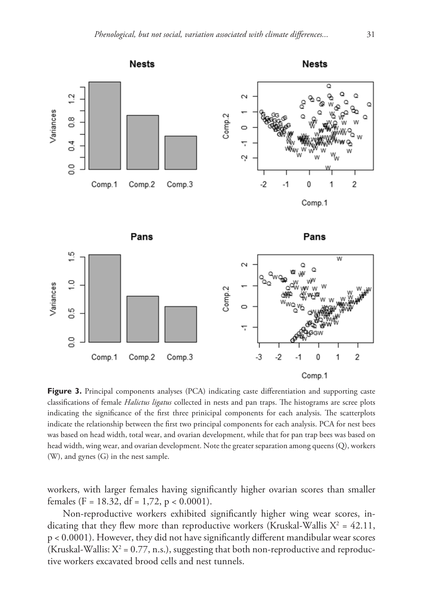

**Figure 3.** Principal components analyses (PCA) indicating caste differentiation and supporting caste classifications of female *Halictus ligatus* collected in nests and pan traps. The histograms are scree plots indicating the significance of the first three prinicipal components for each analysis. The scatterplots indicate the relationship between the first two principal components for each analysis. PCA for nest bees was based on head width, total wear, and ovarian development, while that for pan trap bees was based on head width, wing wear, and ovarian development. Note the greater separation among queens (Q), workers (W), and gynes (G) in the nest sample.

workers, with larger females having significantly higher ovarian scores than smaller females (F = 18.32, df = 1,72, p < 0.0001).

Non-reproductive workers exhibited significantly higher wing wear scores, indicating that they flew more than reproductive workers (Kruskal-Wallis  $X^2 = 42.11$ , p < 0.0001). However, they did not have significantly different mandibular wear scores (Kruskal-Wallis:  $X^2 = 0.77$ , n.s.), suggesting that both non-reproductive and reproductive workers excavated brood cells and nest tunnels.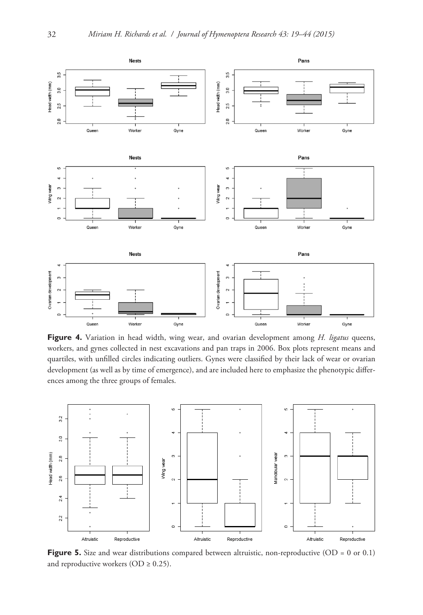

**Figure 4.** Variation in head width, wing wear, and ovarian development among *H. ligatus* queens, workers, and gynes collected in nest excavations and pan traps in 2006. Box plots represent means and quartiles, with unfilled circles indicating outliers. Gynes were classified by their lack of wear or ovarian development (as well as by time of emergence), and are included here to emphasize the phenotypic differences among the three groups of females.



**Figure 5.** Size and wear distributions compared between altruistic, non-reproductive (OD = 0 or 0.1) and reproductive workers ( $OD \ge 0.25$ ).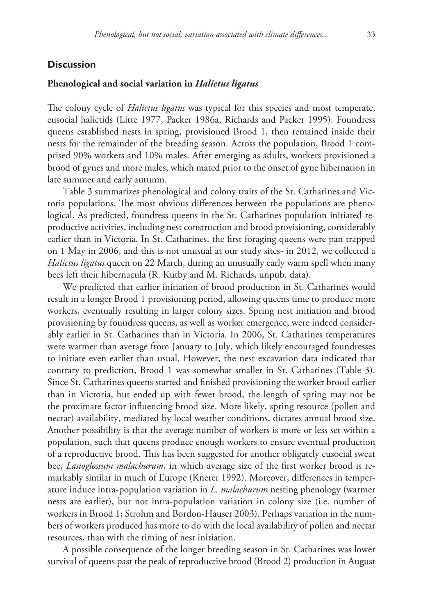## **Discussion**

## **Phenological and social variation in** *Halictus ligatus*

The colony cycle of *Halictus ligatus* was typical for this species and most temperate, eusocial halictids (Litte 1977, Packer 1986a, Richards and Packer 1995). Foundress queens established nests in spring, provisioned Brood 1, then remained inside their nests for the remainder of the breeding season. Across the population, Brood 1 comprised 90% workers and 10% males. After emerging as adults, workers provisioned a brood of gynes and more males, which mated prior to the onset of gyne hibernation in late summer and early autumn.

Table 3 summarizes phenological and colony traits of the St. Catharines and Victoria populations. The most obvious differences between the populations are phenological. As predicted, foundress queens in the St. Catharines population initiated reproductive activities, including nest construction and brood provisioning, considerably earlier than in Victoria. In St. Catharines, the first foraging queens were pan trapped on 1 May in 2006, and this is not unusual at our study sites- in 2012, we collected a *Halictus ligatus* queen on 22 March, during an unusually early warm spell when many bees left their hibernacula (R. Kutby and M. Richards, unpub. data).

We predicted that earlier initiation of brood production in St. Catharines would result in a longer Brood 1 provisioning period, allowing queens time to produce more workers, eventually resulting in larger colony sizes. Spring nest initiation and brood provisioning by foundress queens, as well as worker emergence, were indeed considerably earlier in St. Catharines than in Victoria. In 2006, St. Catharines temperatures were warmer than average from January to July, which likely encouraged foundresses to initiate even earlier than usual. However, the nest excavation data indicated that contrary to prediction, Brood 1 was somewhat smaller in St. Catharines (Table 3). Since St. Catharines queens started and finished provisioning the worker brood earlier than in Victoria, but ended up with fewer brood, the length of spring may not be the proximate factor influencing brood size. More likely, spring resource (pollen and nectar) availability, mediated by local weather conditions, dictates annual brood size. Another possibility is that the average number of workers is more or less set within a population, such that queens produce enough workers to ensure eventual production of a reproductive brood. This has been suggested for another obligately eusocial sweat bee, *Lasioglossum malachurum*, in which average size of the first worker brood is remarkably similar in much of Europe (Knerer 1992). Moreover, differences in temperature induce intra-population variation in *L. malachurum* nesting phenology (warmer nests are earlier), but not intra-population variation in colony size (i.e. number of workers in Brood 1; Strohm and Bordon-Hauser 2003). Perhaps variation in the numbers of workers produced has more to do with the local availability of pollen and nectar resources, than with the timing of nest initiation.

A possible consequence of the longer breeding season in St. Catharines was lower survival of queens past the peak of reproductive brood (Brood 2) production in August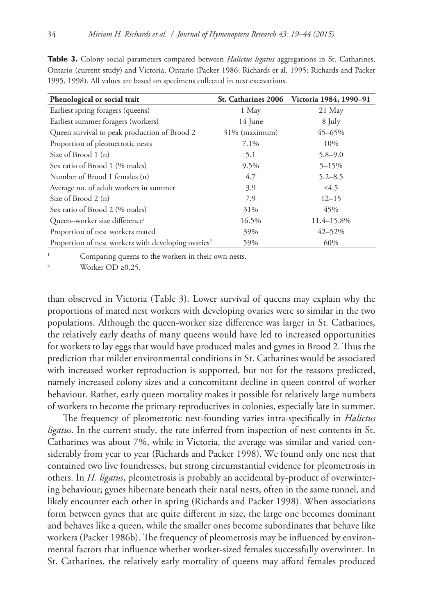| Phenological or social trait                                    |                  | St. Catharines 2006 Victoria 1984, 1990-91 |
|-----------------------------------------------------------------|------------------|--------------------------------------------|
| Earliest spring foragers (queens)                               | 1 May            | 21 May                                     |
| Earliest summer foragers (workers)                              | 14 June          | 8 July                                     |
| Queen survival to peak production of Brood 2                    | $31\%$ (maximum) | 45-65%                                     |
| Proportion of pleometrotic nests                                | 7.1%             | 10%                                        |
| Size of Brood 1 (n)                                             | 5.1              | $5.8 - 9.0$                                |
| Sex ratio of Brood 1 (% males)                                  | 9.5%             | $5 - 15%$                                  |
| Number of Brood 1 females (n)                                   | 4.7              | $5.2 - 8.5$                                |
| Average no. of adult workers in summer                          | 3.9              | $\leq 4.5$                                 |
| Size of Brood $2(n)$                                            | 7.9              | $12 - 15$                                  |
| Sex ratio of Brood 2 (% males)                                  | 31%              | 45%                                        |
| Queen-worker size difference <sup>1</sup>                       | 16.5%            | 11.4-15.8%                                 |
| Proportion of nest workers mated                                | 39%              | $42 - 52%$                                 |
| Proportion of nest workers with developing ovaries <sup>2</sup> | 59%              | 60%                                        |

**Table 3.** Colony social parameters compared between *Halictus ligatus* aggregations in St. Catharines, Ontario (current study) and Victoria, Ontario (Packer 1986; Richards et al. 1995; Richards and Packer 1995, 1998). All values are based on specimens collected in nest excavations.

<sup>1</sup> Comparing queens to the workers in their own nests.

<sup>2</sup> Worker OD ≥0.25.

than observed in Victoria (Table 3). Lower survival of queens may explain why the proportions of mated nest workers with developing ovaries were so similar in the two populations. Although the queen-worker size difference was larger in St. Catharines, the relatively early deaths of many queens would have led to increased opportunities for workers to lay eggs that would have produced males and gynes in Brood 2. Thus the prediction that milder environmental conditions in St. Catharines would be associated with increased worker reproduction is supported, but not for the reasons predicted, namely increased colony sizes and a concomitant decline in queen control of worker behaviour. Rather, early queen mortality makes it possible for relatively large numbers of workers to become the primary reproductives in colonies, especially late in summer.

The frequency of pleometrotic nest-founding varies intra-specifically in *Halictus ligatus*. In the current study, the rate inferred from inspection of nest contents in St. Catharines was about 7%, while in Victoria, the average was similar and varied considerably from year to year (Richards and Packer 1998). We found only one nest that contained two live foundresses, but strong circumstantial evidence for pleometrosis in others. In *H. ligatus*, pleometrosis is probably an accidental by-product of overwintering behaviour; gynes hibernate beneath their natal nests, often in the same tunnel, and likely encounter each other in spring (Richards and Packer 1998). When associations form between gynes that are quite different in size, the large one becomes dominant and behaves like a queen, while the smaller ones become subordinates that behave like workers (Packer 1986b). The frequency of pleometrosis may be influenced by environmental factors that influence whether worker-sized females successfully overwinter. In St. Catharines, the relatively early mortality of queens may afford females produced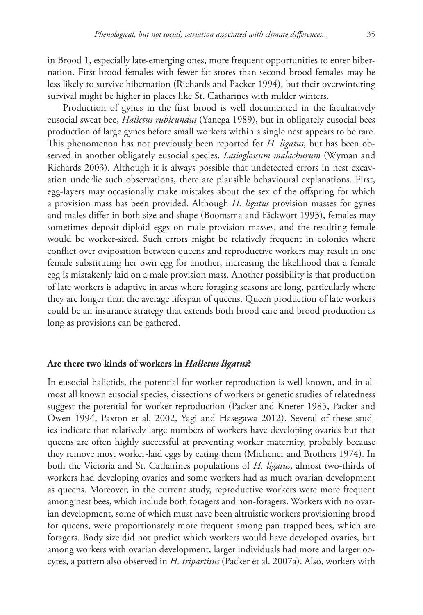in Brood 1, especially late-emerging ones, more frequent opportunities to enter hibernation. First brood females with fewer fat stores than second brood females may be less likely to survive hibernation (Richards and Packer 1994), but their overwintering survival might be higher in places like St. Catharines with milder winters.

Production of gynes in the first brood is well documented in the facultatively eusocial sweat bee, *Halictus rubicundus* (Yanega 1989), but in obligately eusocial bees production of large gynes before small workers within a single nest appears to be rare. This phenomenon has not previously been reported for *H. ligatus*, but has been observed in another obligately eusocial species, *Lasioglossum malachurum* (Wyman and Richards 2003). Although it is always possible that undetected errors in nest excavation underlie such observations, there are plausible behavioural explanations. First, egg-layers may occasionally make mistakes about the sex of the offspring for which a provision mass has been provided. Although *H. ligatus* provision masses for gynes and males differ in both size and shape (Boomsma and Eickwort 1993), females may sometimes deposit diploid eggs on male provision masses, and the resulting female would be worker-sized. Such errors might be relatively frequent in colonies where conflict over oviposition between queens and reproductive workers may result in one female substituting her own egg for another, increasing the likelihood that a female egg is mistakenly laid on a male provision mass. Another possibility is that production of late workers is adaptive in areas where foraging seasons are long, particularly where they are longer than the average lifespan of queens. Queen production of late workers could be an insurance strategy that extends both brood care and brood production as long as provisions can be gathered.

### **Are there two kinds of workers in** *Halictus ligatus***?**

In eusocial halictids, the potential for worker reproduction is well known, and in almost all known eusocial species, dissections of workers or genetic studies of relatedness suggest the potential for worker reproduction (Packer and Knerer 1985, Packer and Owen 1994, Paxton et al. 2002, Yagi and Hasegawa 2012). Several of these studies indicate that relatively large numbers of workers have developing ovaries but that queens are often highly successful at preventing worker maternity, probably because they remove most worker-laid eggs by eating them (Michener and Brothers 1974). In both the Victoria and St. Catharines populations of *H. ligatus*, almost two-thirds of workers had developing ovaries and some workers had as much ovarian development as queens. Moreover, in the current study, reproductive workers were more frequent among nest bees, which include both foragers and non-foragers. Workers with no ovarian development, some of which must have been altruistic workers provisioning brood for queens, were proportionately more frequent among pan trapped bees, which are foragers. Body size did not predict which workers would have developed ovaries, but among workers with ovarian development, larger individuals had more and larger oocytes, a pattern also observed in *H. tripartitus* (Packer et al. 2007a). Also, workers with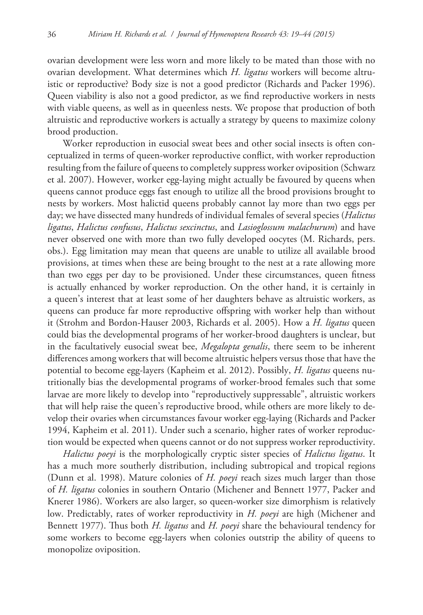ovarian development were less worn and more likely to be mated than those with no ovarian development. What determines which *H. ligatus* workers will become altruistic or reproductive? Body size is not a good predictor (Richards and Packer 1996). Queen viability is also not a good predictor, as we find reproductive workers in nests with viable queens, as well as in queenless nests. We propose that production of both altruistic and reproductive workers is actually a strategy by queens to maximize colony brood production.

Worker reproduction in eusocial sweat bees and other social insects is often conceptualized in terms of queen-worker reproductive conflict, with worker reproduction resulting from the failure of queens to completely suppress worker oviposition (Schwarz et al. 2007). However, worker egg-laying might actually be favoured by queens when queens cannot produce eggs fast enough to utilize all the brood provisions brought to nests by workers. Most halictid queens probably cannot lay more than two eggs per day; we have dissected many hundreds of individual females of several species (*Halictus ligatus*, *Halictus confusus*, *Halictus sexcinctus*, and *Lasioglossum malachurum*) and have never observed one with more than two fully developed oocytes (M. Richards, pers. obs.). Egg limitation may mean that queens are unable to utilize all available brood provisions, at times when these are being brought to the nest at a rate allowing more than two eggs per day to be provisioned. Under these circumstances, queen fitness is actually enhanced by worker reproduction. On the other hand, it is certainly in a queen's interest that at least some of her daughters behave as altruistic workers, as queens can produce far more reproductive offspring with worker help than without it (Strohm and Bordon-Hauser 2003, Richards et al. 2005). How a *H. ligatus* queen could bias the developmental programs of her worker-brood daughters is unclear, but in the facultatively eusocial sweat bee, *Megalopta genalis*, there seem to be inherent differences among workers that will become altruistic helpers versus those that have the potential to become egg-layers (Kapheim et al. 2012). Possibly, *H. ligatus* queens nutritionally bias the developmental programs of worker-brood females such that some larvae are more likely to develop into "reproductively suppressable", altruistic workers that will help raise the queen's reproductive brood, while others are more likely to develop their ovaries when circumstances favour worker egg-laying (Richards and Packer 1994, Kapheim et al. 2011). Under such a scenario, higher rates of worker reproduction would be expected when queens cannot or do not suppress worker reproductivity.

*Halictus poeyi* is the morphologically cryptic sister species of *Halictus ligatus*. It has a much more southerly distribution, including subtropical and tropical regions (Dunn et al. 1998). Mature colonies of *H. poeyi* reach sizes much larger than those of *H. ligatus* colonies in southern Ontario (Michener and Bennett 1977, Packer and Knerer 1986). Workers are also larger, so queen-worker size dimorphism is relatively low. Predictably, rates of worker reproductivity in *H. poeyi* are high (Michener and Bennett 1977). Thus both *H. ligatus* and *H. poeyi* share the behavioural tendency for some workers to become egg-layers when colonies outstrip the ability of queens to monopolize oviposition.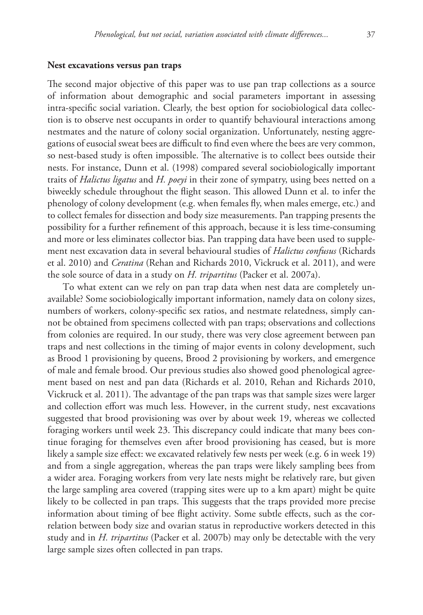#### **Nest excavations versus pan traps**

The second major objective of this paper was to use pan trap collections as a source of information about demographic and social parameters important in assessing intra-specific social variation. Clearly, the best option for sociobiological data collection is to observe nest occupants in order to quantify behavioural interactions among nestmates and the nature of colony social organization. Unfortunately, nesting aggregations of eusocial sweat bees are difficult to find even where the bees are very common, so nest-based study is often impossible. The alternative is to collect bees outside their nests. For instance, Dunn et al. (1998) compared several sociobiologically important traits of *Halictus ligatus* and *H. poeyi* in their zone of sympatry, using bees netted on a biweekly schedule throughout the flight season. This allowed Dunn et al. to infer the phenology of colony development (e.g. when females fly, when males emerge, etc.) and to collect females for dissection and body size measurements. Pan trapping presents the possibility for a further refinement of this approach, because it is less time-consuming and more or less eliminates collector bias. Pan trapping data have been used to supplement nest excavation data in several behavioural studies of *Halictus confusus* (Richards et al. 2010) and *Ceratina* (Rehan and Richards 2010, Vickruck et al. 2011), and were the sole source of data in a study on *H. tripartitus* (Packer et al. 2007a).

To what extent can we rely on pan trap data when nest data are completely unavailable? Some sociobiologically important information, namely data on colony sizes, numbers of workers, colony-specific sex ratios, and nestmate relatedness, simply cannot be obtained from specimens collected with pan traps; observations and collections from colonies are required. In our study, there was very close agreement between pan traps and nest collections in the timing of major events in colony development, such as Brood 1 provisioning by queens, Brood 2 provisioning by workers, and emergence of male and female brood. Our previous studies also showed good phenological agreement based on nest and pan data (Richards et al. 2010, Rehan and Richards 2010, Vickruck et al. 2011). The advantage of the pan traps was that sample sizes were larger and collection effort was much less. However, in the current study, nest excavations suggested that brood provisioning was over by about week 19, whereas we collected foraging workers until week 23. This discrepancy could indicate that many bees continue foraging for themselves even after brood provisioning has ceased, but is more likely a sample size effect: we excavated relatively few nests per week (e.g. 6 in week 19) and from a single aggregation, whereas the pan traps were likely sampling bees from a wider area. Foraging workers from very late nests might be relatively rare, but given the large sampling area covered (trapping sites were up to a km apart) might be quite likely to be collected in pan traps. This suggests that the traps provided more precise information about timing of bee flight activity. Some subtle effects, such as the correlation between body size and ovarian status in reproductive workers detected in this study and in *H. tripartitus* (Packer et al. 2007b) may only be detectable with the very large sample sizes often collected in pan traps.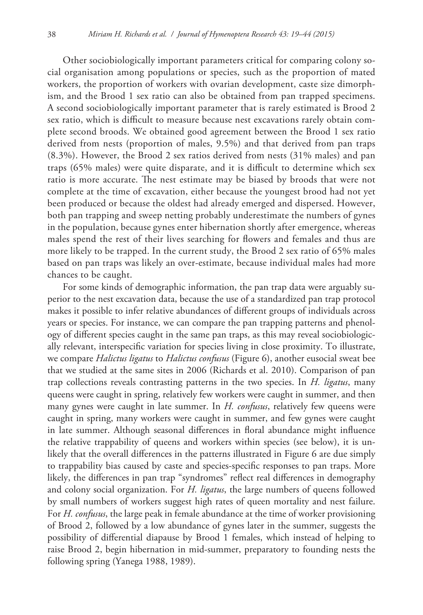Other sociobiologically important parameters critical for comparing colony social organisation among populations or species, such as the proportion of mated workers, the proportion of workers with ovarian development, caste size dimorphism, and the Brood 1 sex ratio can also be obtained from pan trapped specimens. A second sociobiologically important parameter that is rarely estimated is Brood 2 sex ratio, which is difficult to measure because nest excavations rarely obtain complete second broods. We obtained good agreement between the Brood 1 sex ratio derived from nests (proportion of males, 9.5%) and that derived from pan traps (8.3%). However, the Brood 2 sex ratios derived from nests (31% males) and pan traps (65% males) were quite disparate, and it is difficult to determine which sex ratio is more accurate. The nest estimate may be biased by broods that were not complete at the time of excavation, either because the youngest brood had not yet been produced or because the oldest had already emerged and dispersed. However, both pan trapping and sweep netting probably underestimate the numbers of gynes in the population, because gynes enter hibernation shortly after emergence, whereas males spend the rest of their lives searching for flowers and females and thus are more likely to be trapped. In the current study, the Brood 2 sex ratio of 65% males based on pan traps was likely an over-estimate, because individual males had more chances to be caught.

For some kinds of demographic information, the pan trap data were arguably superior to the nest excavation data, because the use of a standardized pan trap protocol makes it possible to infer relative abundances of different groups of individuals across years or species. For instance, we can compare the pan trapping patterns and phenology of different species caught in the same pan traps, as this may reveal sociobiologically relevant, interspecific variation for species living in close proximity. To illustrate, we compare *Halictus ligatus* to *Halictus confusus* (Figure 6), another eusocial sweat bee that we studied at the same sites in 2006 (Richards et al. 2010). Comparison of pan trap collections reveals contrasting patterns in the two species. In *H. ligatus*, many queens were caught in spring, relatively few workers were caught in summer, and then many gynes were caught in late summer. In *H. confusus*, relatively few queens were caught in spring, many workers were caught in summer, and few gynes were caught in late summer. Although seasonal differences in floral abundance might influence the relative trappability of queens and workers within species (see below), it is unlikely that the overall differences in the patterns illustrated in Figure 6 are due simply to trappability bias caused by caste and species-specific responses to pan traps. More likely, the differences in pan trap "syndromes" reflect real differences in demography and colony social organization. For *H. ligatus*, the large numbers of queens followed by small numbers of workers suggest high rates of queen mortality and nest failure. For *H. confusus*, the large peak in female abundance at the time of worker provisioning of Brood 2, followed by a low abundance of gynes later in the summer, suggests the possibility of differential diapause by Brood 1 females, which instead of helping to raise Brood 2, begin hibernation in mid-summer, preparatory to founding nests the following spring (Yanega 1988, 1989).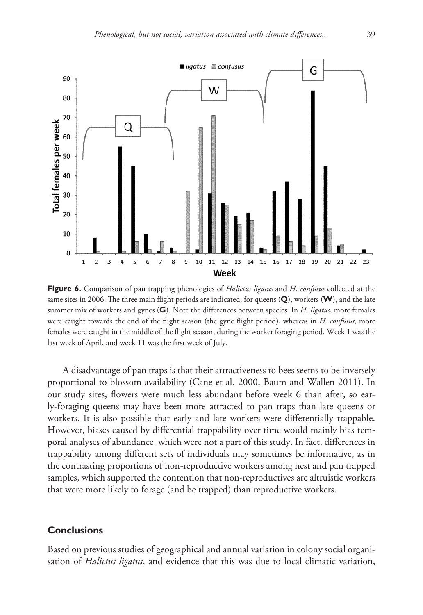

**Figure 6.** Comparison of pan trapping phenologies of *Halictus ligatus* and *H. confusus* collected at the same sites in 2006. The three main flight periods are indicated, for queens (**Q**), workers (**W**), and the late summer mix of workers and gynes (**G**). Note the differences between species. In *H. ligatus*, more females were caught towards the end of the flight season (the gyne flight period), whereas in *H. confusus*, more females were caught in the middle of the flight season, during the worker foraging period. Week 1 was the last week of April, and week 11 was the first week of July.

A disadvantage of pan traps is that their attractiveness to bees seems to be inversely proportional to blossom availability (Cane et al. 2000, Baum and Wallen 2011). In our study sites, flowers were much less abundant before week 6 than after, so early-foraging queens may have been more attracted to pan traps than late queens or workers. It is also possible that early and late workers were differentially trappable. However, biases caused by differential trappability over time would mainly bias temporal analyses of abundance, which were not a part of this study. In fact, differences in trappability among different sets of individuals may sometimes be informative, as in the contrasting proportions of non-reproductive workers among nest and pan trapped samples, which supported the contention that non-reproductives are altruistic workers that were more likely to forage (and be trapped) than reproductive workers.

# **Conclusions**

Based on previous studies of geographical and annual variation in colony social organisation of *Halictus ligatus*, and evidence that this was due to local climatic variation,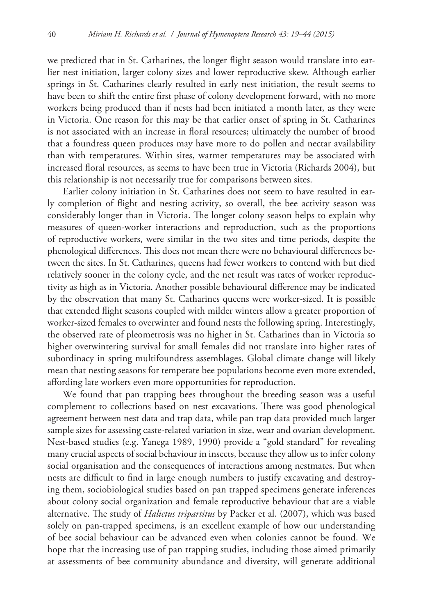we predicted that in St. Catharines, the longer flight season would translate into earlier nest initiation, larger colony sizes and lower reproductive skew. Although earlier springs in St. Catharines clearly resulted in early nest initiation, the result seems to have been to shift the entire first phase of colony development forward, with no more workers being produced than if nests had been initiated a month later, as they were in Victoria. One reason for this may be that earlier onset of spring in St. Catharines is not associated with an increase in floral resources; ultimately the number of brood that a foundress queen produces may have more to do pollen and nectar availability than with temperatures. Within sites, warmer temperatures may be associated with increased floral resources, as seems to have been true in Victoria (Richards 2004), but this relationship is not necessarily true for comparisons between sites.

Earlier colony initiation in St. Catharines does not seem to have resulted in early completion of flight and nesting activity, so overall, the bee activity season was considerably longer than in Victoria. The longer colony season helps to explain why measures of queen-worker interactions and reproduction, such as the proportions of reproductive workers, were similar in the two sites and time periods, despite the phenological differences. This does not mean there were no behavioural differences between the sites. In St. Catharines, queens had fewer workers to contend with but died relatively sooner in the colony cycle, and the net result was rates of worker reproductivity as high as in Victoria. Another possible behavioural difference may be indicated by the observation that many St. Catharines queens were worker-sized. It is possible that extended flight seasons coupled with milder winters allow a greater proportion of worker-sized females to overwinter and found nests the following spring. Interestingly, the observed rate of pleometrosis was no higher in St. Catharines than in Victoria so higher overwintering survival for small females did not translate into higher rates of subordinacy in spring multifoundress assemblages. Global climate change will likely mean that nesting seasons for temperate bee populations become even more extended, affording late workers even more opportunities for reproduction.

We found that pan trapping bees throughout the breeding season was a useful complement to collections based on nest excavations. There was good phenological agreement between nest data and trap data, while pan trap data provided much larger sample sizes for assessing caste-related variation in size, wear and ovarian development. Nest-based studies (e.g. Yanega 1989, 1990) provide a "gold standard" for revealing many crucial aspects of social behaviour in insects, because they allow us to infer colony social organisation and the consequences of interactions among nestmates. But when nests are difficult to find in large enough numbers to justify excavating and destroying them, sociobiological studies based on pan trapped specimens generate inferences about colony social organization and female reproductive behaviour that are a viable alternative. The study of *Halictus tripartitus* by Packer et al. (2007), which was based solely on pan-trapped specimens, is an excellent example of how our understanding of bee social behaviour can be advanced even when colonies cannot be found. We hope that the increasing use of pan trapping studies, including those aimed primarily at assessments of bee community abundance and diversity, will generate additional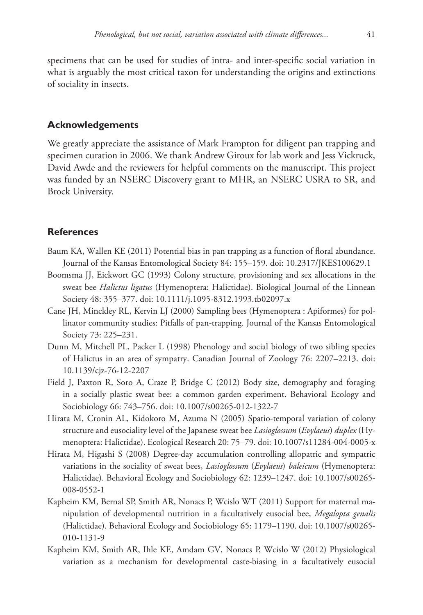specimens that can be used for studies of intra- and inter-specific social variation in what is arguably the most critical taxon for understanding the origins and extinctions of sociality in insects.

# **Acknowledgements**

We greatly appreciate the assistance of Mark Frampton for diligent pan trapping and specimen curation in 2006. We thank Andrew Giroux for lab work and Jess Vickruck, David Awde and the reviewers for helpful comments on the manuscript. This project was funded by an NSERC Discovery grant to MHR, an NSERC USRA to SR, and Brock University.

### **References**

- Baum KA, Wallen KE (2011) Potential bias in pan trapping as a function of floral abundance. Journal of the Kansas Entomological Society 84: 155–159. [doi: 10.2317/JKES100629.1](http://dx.doi.org/10.2317/JKES100629.1)
- Boomsma JJ, Eickwort GC (1993) Colony structure, provisioning and sex allocations in the sweat bee *Halictus ligatus* (Hymenoptera: Halictidae). Biological Journal of the Linnean Society 48: 355–377. [doi: 10.1111/j.1095-8312.1993.tb02097.x](http://dx.doi.org/10.1111/j.1095-8312.1993.tb02097.x)
- Cane JH, Minckley RL, Kervin LJ (2000) Sampling bees (Hymenoptera : Apiformes) for pollinator community studies: Pitfalls of pan-trapping. Journal of the Kansas Entomological Society 73: 225–231.
- Dunn M, Mitchell PL, Packer L (1998) Phenology and social biology of two sibling species of Halictus in an area of sympatry. Canadian Journal of Zoology 76: 2207–2213. [doi:](http://dx.doi.org/10.1139/cjz-76-12-2207) [10.1139/cjz-76-12-2207](http://dx.doi.org/10.1139/cjz-76-12-2207)
- Field J, Paxton R, Soro A, Craze P, Bridge C (2012) Body size, demography and foraging in a socially plastic sweat bee: a common garden experiment. Behavioral Ecology and Sociobiology 66: 743–756. [doi: 10.1007/s00265-012-1322-7](http://dx.doi.org/10.1007/s00265-012-1322-7)
- Hirata M, Cronin AL, Kidokoro M, Azuma N (2005) Spatio-temporal variation of colony structure and eusociality level of the Japanese sweat bee *Lasioglossum* (*Evylaeus*) *duplex* (Hymenoptera: Halictidae). Ecological Research 20: 75–79. [doi: 10.1007/s11284-004-0005-x](http://dx.doi.org/10.1007/s11284-004-0005-x)
- Hirata M, Higashi S (2008) Degree-day accumulation controlling allopatric and sympatric variations in the sociality of sweat bees, *Lasioglossum* (*Evylaeus*) *baleicum* (Hymenoptera: Halictidae). Behavioral Ecology and Sociobiology 62: 1239–1247. [doi: 10.1007/s00265-](http://dx.doi.org/10.1007/s00265-008-0552-1) [008-0552-1](http://dx.doi.org/10.1007/s00265-008-0552-1)
- Kapheim KM, Bernal SP, Smith AR, Nonacs P, Wcislo WT (2011) Support for maternal manipulation of developmental nutrition in a facultatively eusocial bee, *Megalopta genalis* (Halictidae). Behavioral Ecology and Sociobiology 65: 1179–1190. [doi: 10.1007/s00265-](http://dx.doi.org/10.1007/s00265-010-1131-9) [010-1131-9](http://dx.doi.org/10.1007/s00265-010-1131-9)
- Kapheim KM, Smith AR, Ihle KE, Amdam GV, Nonacs P, Wcislo W (2012) Physiological variation as a mechanism for developmental caste-biasing in a facultatively eusocial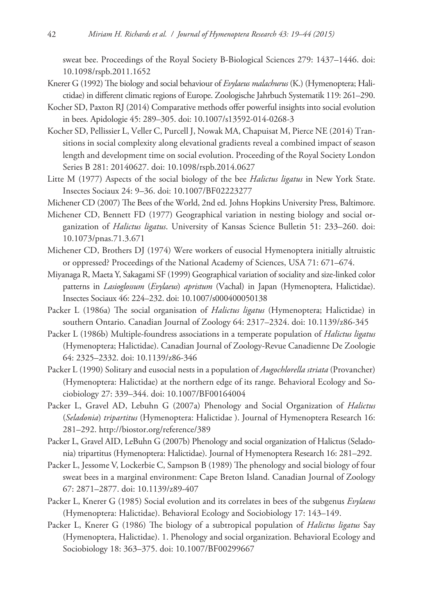sweat bee. Proceedings of the Royal Society B-Biological Sciences 279: 1437–1446. [doi:](http://dx.doi.org/10.1098/rspb.2011.1652) [10.1098/rspb.2011.1652](http://dx.doi.org/10.1098/rspb.2011.1652)

- Knerer G (1992) The biology and social behaviour of *Evylaeus malachurus* (K.) (Hymenoptera; Halictidae) in different climatic regions of Europe. Zoologische Jahrbuch Systematik 119: 261–290.
- Kocher SD, Paxton RJ (2014) Comparative methods offer powerful insights into social evolution in bees. Apidologie 45: 289–305. [doi: 10.1007/s13592-014-0268-3](http://dx.doi.org/10.1007/s13592-014-0268-3)
- Kocher SD, Pellissier L, Veller C, Purcell J, Nowak MA, Chapuisat M, Pierce NE (2014) Transitions in social complexity along elevational gradients reveal a combined impact of season length and development time on social evolution. Proceeding of the Royal Society London Series B 281: 20140627. [doi: 10.1098/rspb.2014.0627](http://dx.doi.org/10.1098/rspb.2014.0627)
- Litte M (1977) Aspects of the social biology of the bee *Halictus ligatus* in New York State. Insectes Sociaux 24: 9–36. [doi: 10.1007/BF02223277](http://dx.doi.org/10.1007/BF02223277)
- Michener CD (2007) The Bees of the World, 2nd ed. Johns Hopkins University Press, Baltimore.
- Michener CD, Bennett FD (1977) Geographical variation in nesting biology and social organization of *Halictus ligatus*. University of Kansas Science Bulletin 51: 233–260. [doi:](http://dx.doi.org/10.1073/pnas.71.3.671) [10.1073/pnas.71.3.671](http://dx.doi.org/10.1073/pnas.71.3.671)
- Michener CD, Brothers DJ (1974) Were workers of eusocial Hymenoptera initially altruistic or oppressed? Proceedings of the National Academy of Sciences, USA 71: 671–674.
- Miyanaga R, Maeta Y, Sakagami SF (1999) Geographical variation of sociality and size-linked color patterns in *Lasioglossum* (*Evylaeus*) *apristum* (Vachal) in Japan (Hymenoptera, Halictidae). Insectes Sociaux 46: 224–232. [doi: 10.1007/s000400050138](http://dx.doi.org/10.1007/s000400050138)
- Packer L (1986a) The social organisation of *Halictus ligatus* (Hymenoptera; Halictidae) in southern Ontario. Canadian Journal of Zoology 64: 2317–2324. [doi: 10.1139/z86-345](http://dx.doi.org/10.1139/z86-345)
- Packer L (1986b) Multiple-foundress associations in a temperate population of *Halictus ligatus* (Hymenoptera; Halictidae). Canadian Journal of Zoology-Revue Canadienne De Zoologie 64: 2325–2332. [doi: 10.1139/z86-346](http://dx.doi.org/10.1139/z86-346)
- Packer L (1990) Solitary and eusocial nests in a population of *Augochlorella striata* (Provancher) (Hymenoptera: Halictidae) at the northern edge of its range. Behavioral Ecology and Sociobiology 27: 339–344. [doi: 10.1007/BF00164004](http://dx.doi.org/10.1007/BF00164004)
- Packer L, Gravel AD, Lebuhn G (2007a) Phenology and Social Organization of *Halictus*  (*Seladonia*) *tripartitus* (Hymenoptera: Halictidae ). Journal of Hymenoptera Research 16: 281–292.<http://biostor.org/reference/389>
- Packer L, Gravel AID, LeBuhn G (2007b) Phenology and social organization of Halictus (Seladonia) tripartitus (Hymenoptera: Halictidae). Journal of Hymenoptera Research 16: 281–292.
- Packer L, Jessome V, Lockerbie C, Sampson B (1989) The phenology and social biology of four sweat bees in a marginal environment: Cape Breton Island. Canadian Journal of Zoology 67: 2871–2877. [doi: 10.1139/z89-407](http://dx.doi.org/10.1139/z89-407)
- Packer L, Knerer G (1985) Social evolution and its correlates in bees of the subgenus *Evylaeus* (Hymenoptera: Halictidae). Behavioral Ecology and Sociobiology 17: 143–149.
- Packer L, Knerer G (1986) The biology of a subtropical population of *Halictus ligatus* Say (Hymenoptera, Halictidae). 1. Phenology and social organization. Behavioral Ecology and Sociobiology 18: 363–375. [doi: 10.1007/BF00299667](http://dx.doi.org/10.1007/BF00299667)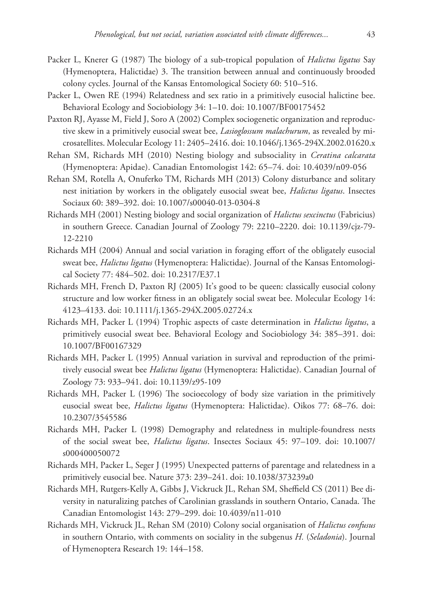- Packer L, Knerer G (1987) The biology of a sub-tropical population of *Halictus ligatus* Say (Hymenoptera, Halictidae) 3. The transition between annual and continuously brooded colony cycles. Journal of the Kansas Entomological Society 60: 510–516.
- Packer L, Owen RE (1994) Relatedness and sex ratio in a primitively eusocial halictine bee. Behavioral Ecology and Sociobiology 34: 1–10. [doi: 10.1007/BF00175452](http://dx.doi.org/10.1007/BF00175452)
- Paxton RJ, Ayasse M, Field J, Soro A (2002) Complex sociogenetic organization and reproductive skew in a primitively eusocial sweat bee, *Lasioglossum malachurum*, as revealed by microsatellites. Molecular Ecology 11: 2405–2416. [doi: 10.1046/j.1365-294X.2002.01620.x](http://dx.doi.org/10.1046/j.1365-294X.2002.01620.x)
- Rehan SM, Richards MH (2010) Nesting biology and subsociality in *Ceratina calcarata* (Hymenoptera: Apidae). Canadian Entomologist 142: 65–74. [doi: 10.4039/n09-056](http://dx.doi.org/10.4039/n09-056)
- Rehan SM, Rotella A, Onuferko TM, Richards MH (2013) Colony disturbance and solitary nest initiation by workers in the obligately eusocial sweat bee, *Halictus ligatus*. Insectes Sociaux 60: 389–392. [doi: 10.1007/s00040-013-0304-8](http://dx.doi.org/10.1007/s00040-013-0304-8)
- Richards MH (2001) Nesting biology and social organization of *Halictus sexcinctus* (Fabricius) in southern Greece. Canadian Journal of Zoology 79: 2210–2220. [doi: 10.1139/cjz-79-](http://dx.doi.org/10.1139/cjz-79-12-2210) [12-2210](http://dx.doi.org/10.1139/cjz-79-12-2210)
- Richards MH (2004) Annual and social variation in foraging effort of the obligately eusocial sweat bee, *Halictus ligatus* (Hymenoptera: Halictidae). Journal of the Kansas Entomological Society 77: 484–502. [doi: 10.2317/E37.1](http://dx.doi.org/10.2317/E37.1)
- Richards MH, French D, Paxton RJ (2005) It's good to be queen: classically eusocial colony structure and low worker fitness in an obligately social sweat bee. Molecular Ecology 14: 4123–4133. [doi: 10.1111/j.1365-294X.2005.02724.x](http://dx.doi.org/10.1111/j.1365-294X.2005.02724.x)
- Richards MH, Packer L (1994) Trophic aspects of caste determination in *Halictus ligatus*, a primitively eusocial sweat bee. Behavioral Ecology and Sociobiology 34: 385–391. [doi:](http://dx.doi.org/10.1007/BF00167329) [10.1007/BF00167329](http://dx.doi.org/10.1007/BF00167329)
- Richards MH, Packer L (1995) Annual variation in survival and reproduction of the primitively eusocial sweat bee *Halictus ligatus* (Hymenoptera: Halictidae). Canadian Journal of Zoology 73: 933–941. [doi: 10.1139/z95-109](http://dx.doi.org/10.1139/z95-109)
- Richards MH, Packer L (1996) The socioecology of body size variation in the primitively eusocial sweat bee, *Halictus ligatus* (Hymenoptera: Halictidae). Oikos 77: 68–76. [doi:](http://dx.doi.org/10.2307/3545586) [10.2307/3545586](http://dx.doi.org/10.2307/3545586)
- Richards MH, Packer L (1998) Demography and relatedness in multiple-foundress nests of the social sweat bee, *Halictus ligatus*. Insectes Sociaux 45: 97–109. [doi: 10.1007/](http://dx.doi.org/10.1007/s000400050072) [s000400050072](http://dx.doi.org/10.1007/s000400050072)
- Richards MH, Packer L, Seger J (1995) Unexpected patterns of parentage and relatedness in a primitively eusocial bee. Nature 373: 239–241. [doi: 10.1038/373239a0](http://dx.doi.org/10.1038/373239a0)
- Richards MH, Rutgers-Kelly A, Gibbs J, Vickruck JL, Rehan SM, Sheffield CS (2011) Bee diversity in naturalizing patches of Carolinian grasslands in southern Ontario, Canada. The Canadian Entomologist 143: 279–299. [doi: 10.4039/n11-010](http://dx.doi.org/10.4039/n11-010)
- Richards MH, Vickruck JL, Rehan SM (2010) Colony social organisation of *Halictus confusus* in southern Ontario, with comments on sociality in the subgenus *H.* (*Seladonia*). Journal of Hymenoptera Research 19: 144–158.